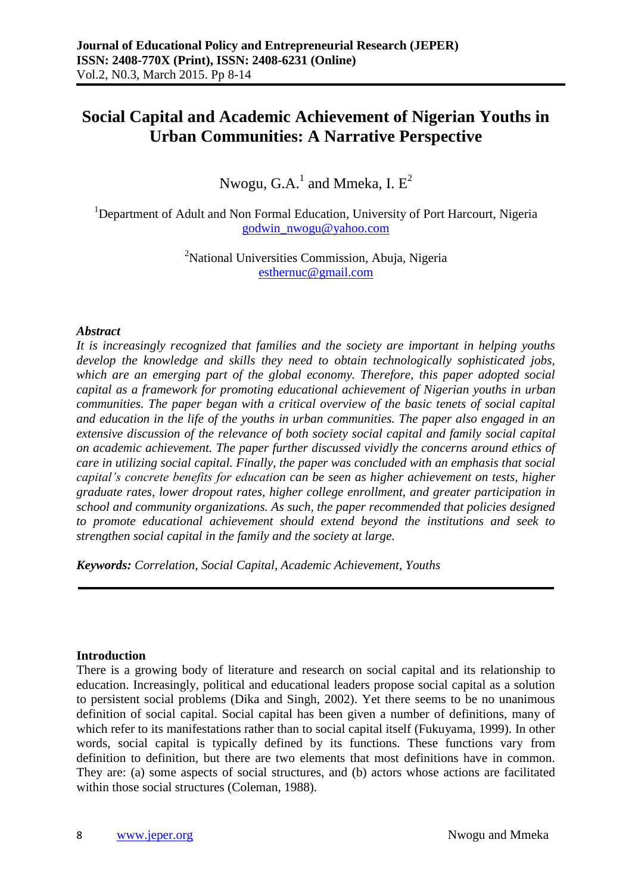# **Social Capital and Academic Achievement of Nigerian Youths in Urban Communities: A Narrative Perspective**

Nwogu, G.A. $^1$  and Mmeka, I.  $\rm E^2$ 

<sup>1</sup>Department of Adult and Non Formal Education, University of Port Harcourt, Nigeria [godwin\\_nwogu@yahoo.com](mailto:godwin_nwogu@yahoo.com)

> <sup>2</sup>National Universities Commission, Abuja, Nigeria [esthernuc@gmail.com](mailto:esthernuc@gmail.com)

## *Abstract*

*It is increasingly recognized that families and the society are important in helping youths develop the knowledge and skills they need to obtain technologically sophisticated jobs, which are an emerging part of the global economy. Therefore, this paper adopted social capital as a framework for promoting educational achievement of Nigerian youths in urban communities. The paper began with a critical overview of the basic tenets of social capital and education in the life of the youths in urban communities. The paper also engaged in an extensive discussion of the relevance of both society social capital and family social capital on academic achievement. The paper further discussed vividly the concerns around ethics of care in utilizing social capital. Finally, the paper was concluded with an emphasis that social capital's concrete benefits for education can be seen as higher achievement on tests, higher graduate rates, lower dropout rates, higher college enrollment, and greater participation in school and community organizations. As such, the paper recommended that policies designed to promote educational achievement should extend beyond the institutions and seek to strengthen social capital in the family and the society at large.*

*Keywords: Correlation, Social Capital, Academic Achievement, Youths*

#### **Introduction**

There is a growing body of literature and research on social capital and its relationship to education. Increasingly, political and educational leaders propose social capital as a solution to persistent social problems (Dika and Singh, 2002). Yet there seems to be no unanimous definition of social capital. Social capital has been given a number of definitions, many of which refer to its manifestations rather than to social capital itself (Fukuyama, 1999). In other words, social capital is typically defined by its functions. These functions vary from definition to definition, but there are two elements that most definitions have in common. They are: (a) some aspects of social structures, and (b) actors whose actions are facilitated within those social structures (Coleman, 1988).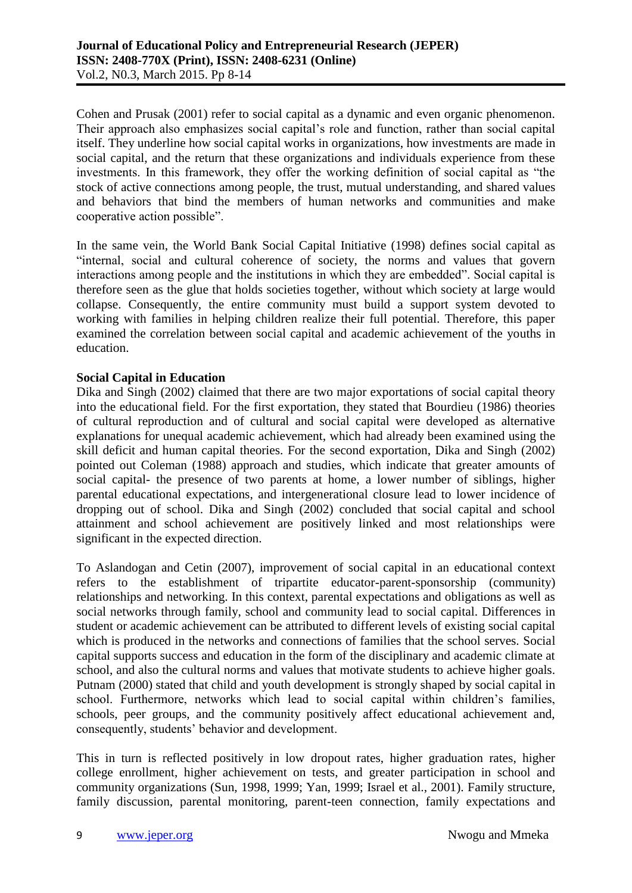Cohen and Prusak (2001) refer to social capital as a dynamic and even organic phenomenon. Their approach also emphasizes social capital's role and function, rather than social capital itself. They underline how social capital works in organizations, how investments are made in social capital, and the return that these organizations and individuals experience from these investments. In this framework, they offer the working definition of social capital as "the stock of active connections among people, the trust, mutual understanding, and shared values and behaviors that bind the members of human networks and communities and make cooperative action possible".

In the same vein, the World Bank Social Capital Initiative (1998) defines social capital as "internal, social and cultural coherence of society, the norms and values that govern interactions among people and the institutions in which they are embedded". Social capital is therefore seen as the glue that holds societies together, without which society at large would collapse. Consequently, the entire community must build a support system devoted to working with families in helping children realize their full potential. Therefore, this paper examined the correlation between social capital and academic achievement of the youths in education.

## **Social Capital in Education**

Dika and Singh (2002) claimed that there are two major exportations of social capital theory into the educational field. For the first exportation, they stated that Bourdieu (1986) theories of cultural reproduction and of cultural and social capital were developed as alternative explanations for unequal academic achievement, which had already been examined using the skill deficit and human capital theories. For the second exportation, Dika and Singh (2002) pointed out Coleman (1988) approach and studies, which indicate that greater amounts of social capital- the presence of two parents at home, a lower number of siblings, higher parental educational expectations, and intergenerational closure lead to lower incidence of dropping out of school. Dika and Singh (2002) concluded that social capital and school attainment and school achievement are positively linked and most relationships were significant in the expected direction.

To Aslandogan and Cetin (2007), improvement of social capital in an educational context refers to the establishment of tripartite educator-parent-sponsorship (community) relationships and networking. In this context, parental expectations and obligations as well as social networks through family, school and community lead to social capital. Differences in student or academic achievement can be attributed to different levels of existing social capital which is produced in the networks and connections of families that the school serves. Social capital supports success and education in the form of the disciplinary and academic climate at school, and also the cultural norms and values that motivate students to achieve higher goals. Putnam (2000) stated that child and youth development is strongly shaped by social capital in school. Furthermore, networks which lead to social capital within children's families, schools, peer groups, and the community positively affect educational achievement and, consequently, students' behavior and development.

This in turn is reflected positively in low dropout rates, higher graduation rates, higher college enrollment, higher achievement on tests, and greater participation in school and community organizations (Sun, 1998, 1999; Yan, 1999; Israel et al., 2001). Family structure, family discussion, parental monitoring, parent-teen connection, family expectations and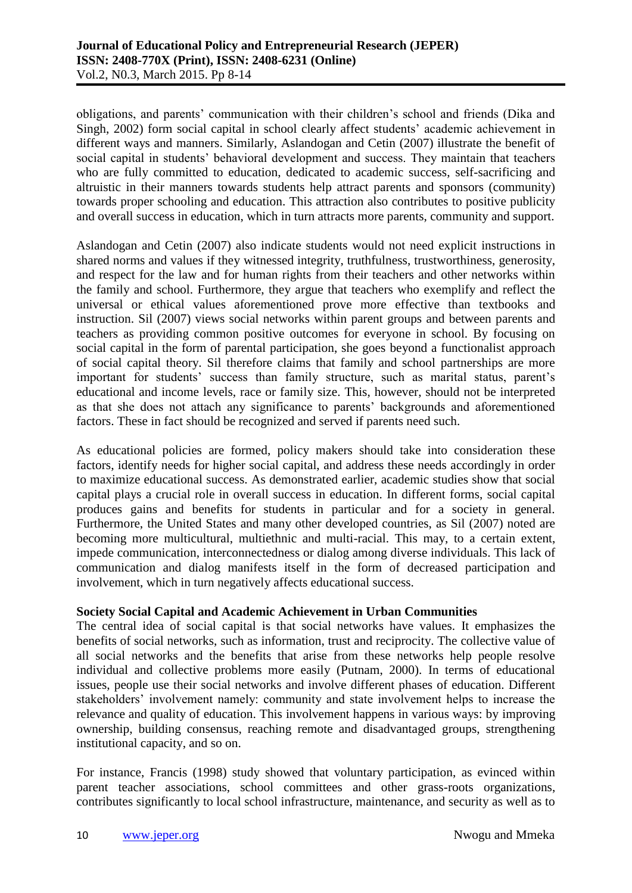obligations, and parents' communication with their children's school and friends (Dika and Singh, 2002) form social capital in school clearly affect students' academic achievement in different ways and manners. Similarly, Aslandogan and Cetin (2007) illustrate the benefit of social capital in students' behavioral development and success. They maintain that teachers who are fully committed to education, dedicated to academic success, self-sacrificing and altruistic in their manners towards students help attract parents and sponsors (community) towards proper schooling and education. This attraction also contributes to positive publicity and overall success in education, which in turn attracts more parents, community and support.

Aslandogan and Cetin (2007) also indicate students would not need explicit instructions in shared norms and values if they witnessed integrity, truthfulness, trustworthiness, generosity, and respect for the law and for human rights from their teachers and other networks within the family and school. Furthermore, they argue that teachers who exemplify and reflect the universal or ethical values aforementioned prove more effective than textbooks and instruction. Sil (2007) views social networks within parent groups and between parents and teachers as providing common positive outcomes for everyone in school. By focusing on social capital in the form of parental participation, she goes beyond a functionalist approach of social capital theory. Sil therefore claims that family and school partnerships are more important for students' success than family structure, such as marital status, parent's educational and income levels, race or family size. This, however, should not be interpreted as that she does not attach any significance to parents' backgrounds and aforementioned factors. These in fact should be recognized and served if parents need such.

As educational policies are formed, policy makers should take into consideration these factors, identify needs for higher social capital, and address these needs accordingly in order to maximize educational success. As demonstrated earlier, academic studies show that social capital plays a crucial role in overall success in education. In different forms, social capital produces gains and benefits for students in particular and for a society in general. Furthermore, the United States and many other developed countries, as Sil (2007) noted are becoming more multicultural, multiethnic and multi-racial. This may, to a certain extent, impede communication, interconnectedness or dialog among diverse individuals. This lack of communication and dialog manifests itself in the form of decreased participation and involvement, which in turn negatively affects educational success.

# **Society Social Capital and Academic Achievement in Urban Communities**

The central idea of social capital is that social networks have values. It emphasizes the benefits of social networks, such as information, trust and reciprocity. The collective value of all social networks and the benefits that arise from these networks help people resolve individual and collective problems more easily (Putnam, 2000). In terms of educational issues, people use their social networks and involve different phases of education. Different stakeholders' involvement namely: community and state involvement helps to increase the relevance and quality of education. This involvement happens in various ways: by improving ownership, building consensus, reaching remote and disadvantaged groups, strengthening institutional capacity, and so on.

For instance, Francis (1998) study showed that voluntary participation, as evinced within parent teacher associations, school committees and other grass-roots organizations, contributes significantly to local school infrastructure, maintenance, and security as well as to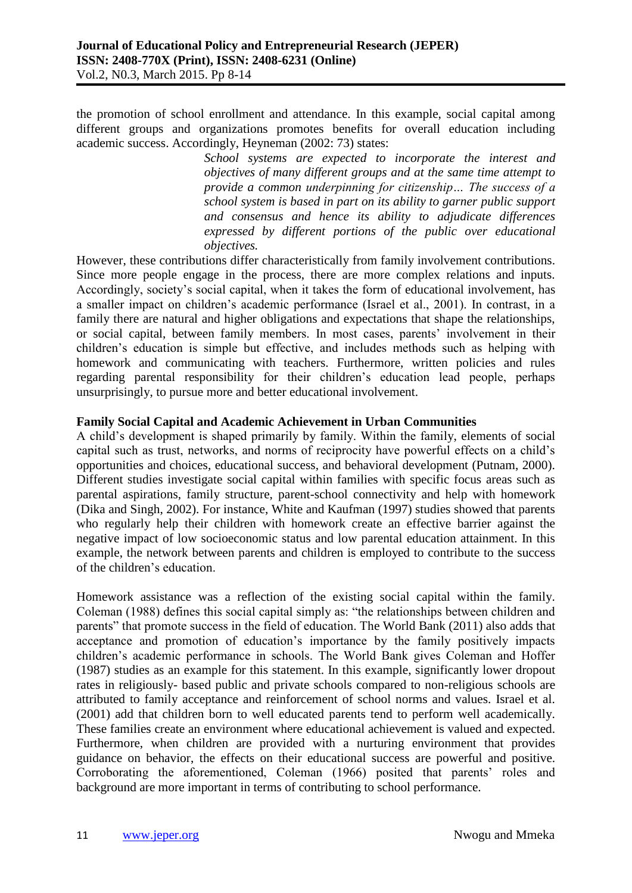the promotion of school enrollment and attendance. In this example, social capital among different groups and organizations promotes benefits for overall education including academic success. Accordingly, Heyneman (2002: 73) states:

> *School systems are expected to incorporate the interest and objectives of many different groups and at the same time attempt to provide a common underpinning for citizenship… The success of a school system is based in part on its ability to garner public support and consensus and hence its ability to adjudicate differences expressed by different portions of the public over educational objectives.*

However, these contributions differ characteristically from family involvement contributions. Since more people engage in the process, there are more complex relations and inputs. Accordingly, society's social capital, when it takes the form of educational involvement, has a smaller impact on children's academic performance (Israel et al., 2001). In contrast, in a family there are natural and higher obligations and expectations that shape the relationships, or social capital, between family members. In most cases, parents' involvement in their children's education is simple but effective, and includes methods such as helping with homework and communicating with teachers. Furthermore, written policies and rules regarding parental responsibility for their children's education lead people, perhaps unsurprisingly, to pursue more and better educational involvement.

## **Family Social Capital and Academic Achievement in Urban Communities**

A child's development is shaped primarily by family. Within the family, elements of social capital such as trust, networks, and norms of reciprocity have powerful effects on a child's opportunities and choices, educational success, and behavioral development (Putnam, 2000). Different studies investigate social capital within families with specific focus areas such as parental aspirations, family structure, parent-school connectivity and help with homework (Dika and Singh, 2002). For instance, White and Kaufman (1997) studies showed that parents who regularly help their children with homework create an effective barrier against the negative impact of low socioeconomic status and low parental education attainment. In this example, the network between parents and children is employed to contribute to the success of the children's education.

Homework assistance was a reflection of the existing social capital within the family. Coleman (1988) defines this social capital simply as: "the relationships between children and parents" that promote success in the field of education. The World Bank (2011) also adds that acceptance and promotion of education's importance by the family positively impacts children's academic performance in schools. The World Bank gives Coleman and Hoffer (1987) studies as an example for this statement. In this example, significantly lower dropout rates in religiously- based public and private schools compared to non-religious schools are attributed to family acceptance and reinforcement of school norms and values. Israel et al. (2001) add that children born to well educated parents tend to perform well academically. These families create an environment where educational achievement is valued and expected. Furthermore, when children are provided with a nurturing environment that provides guidance on behavior, the effects on their educational success are powerful and positive. Corroborating the aforementioned, Coleman (1966) posited that parents' roles and background are more important in terms of contributing to school performance.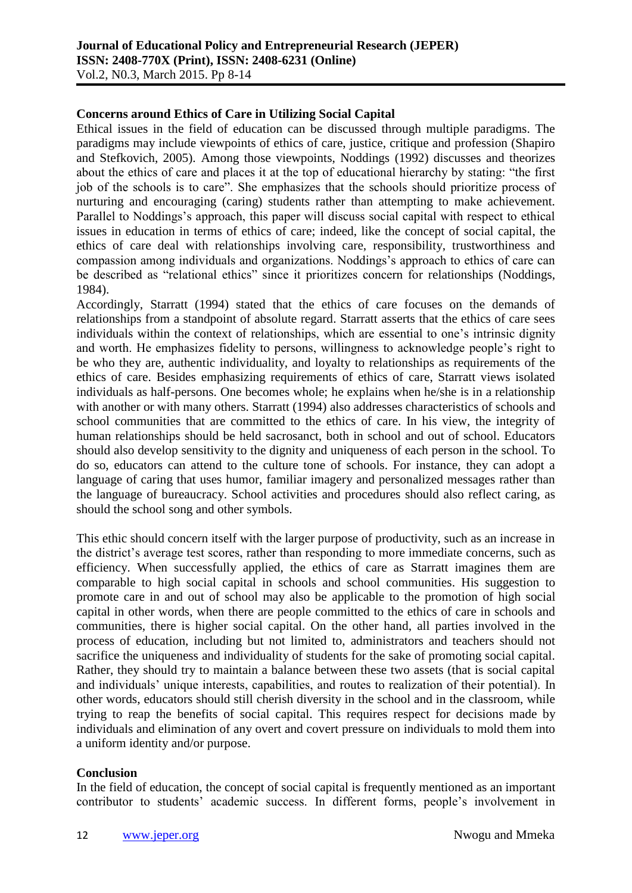## **Concerns around Ethics of Care in Utilizing Social Capital**

Ethical issues in the field of education can be discussed through multiple paradigms. The paradigms may include viewpoints of ethics of care, justice, critique and profession (Shapiro and Stefkovich, 2005). Among those viewpoints, Noddings (1992) discusses and theorizes about the ethics of care and places it at the top of educational hierarchy by stating: "the first job of the schools is to care". She emphasizes that the schools should prioritize process of nurturing and encouraging (caring) students rather than attempting to make achievement. Parallel to Noddings's approach, this paper will discuss social capital with respect to ethical issues in education in terms of ethics of care; indeed, like the concept of social capital, the ethics of care deal with relationships involving care, responsibility, trustworthiness and compassion among individuals and organizations. Noddings's approach to ethics of care can be described as "relational ethics" since it prioritizes concern for relationships (Noddings, 1984).

Accordingly, Starratt (1994) stated that the ethics of care focuses on the demands of relationships from a standpoint of absolute regard. Starratt asserts that the ethics of care sees individuals within the context of relationships, which are essential to one's intrinsic dignity and worth. He emphasizes fidelity to persons, willingness to acknowledge people's right to be who they are, authentic individuality, and loyalty to relationships as requirements of the ethics of care. Besides emphasizing requirements of ethics of care, Starratt views isolated individuals as half-persons. One becomes whole; he explains when he/she is in a relationship with another or with many others. Starratt (1994) also addresses characteristics of schools and school communities that are committed to the ethics of care. In his view, the integrity of human relationships should be held sacrosanct, both in school and out of school. Educators should also develop sensitivity to the dignity and uniqueness of each person in the school. To do so, educators can attend to the culture tone of schools. For instance, they can adopt a language of caring that uses humor, familiar imagery and personalized messages rather than the language of bureaucracy. School activities and procedures should also reflect caring, as should the school song and other symbols.

This ethic should concern itself with the larger purpose of productivity, such as an increase in the district's average test scores, rather than responding to more immediate concerns, such as efficiency. When successfully applied, the ethics of care as Starratt imagines them are comparable to high social capital in schools and school communities. His suggestion to promote care in and out of school may also be applicable to the promotion of high social capital in other words, when there are people committed to the ethics of care in schools and communities, there is higher social capital. On the other hand, all parties involved in the process of education, including but not limited to, administrators and teachers should not sacrifice the uniqueness and individuality of students for the sake of promoting social capital. Rather, they should try to maintain a balance between these two assets (that is social capital and individuals' unique interests, capabilities, and routes to realization of their potential). In other words, educators should still cherish diversity in the school and in the classroom, while trying to reap the benefits of social capital. This requires respect for decisions made by individuals and elimination of any overt and covert pressure on individuals to mold them into a uniform identity and/or purpose.

#### **Conclusion**

In the field of education, the concept of social capital is frequently mentioned as an important contributor to students' academic success. In different forms, people's involvement in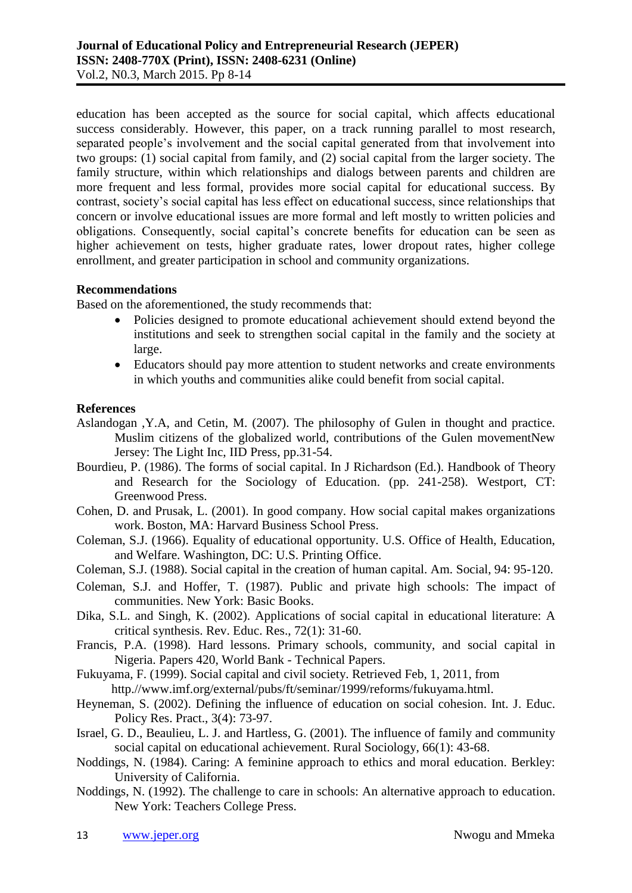education has been accepted as the source for social capital, which affects educational success considerably. However, this paper, on a track running parallel to most research, separated people's involvement and the social capital generated from that involvement into two groups: (1) social capital from family, and (2) social capital from the larger society. The family structure, within which relationships and dialogs between parents and children are more frequent and less formal, provides more social capital for educational success. By contrast, society's social capital has less effect on educational success, since relationships that concern or involve educational issues are more formal and left mostly to written policies and obligations. Consequently, social capital's concrete benefits for education can be seen as higher achievement on tests, higher graduate rates, lower dropout rates, higher college enrollment, and greater participation in school and community organizations.

## **Recommendations**

Based on the aforementioned, the study recommends that:

- Policies designed to promote educational achievement should extend beyond the institutions and seek to strengthen social capital in the family and the society at large.
- Educators should pay more attention to student networks and create environments in which youths and communities alike could benefit from social capital.

## **References**

- Aslandogan ,Y.A, and Cetin, M. (2007). The philosophy of Gulen in thought and practice. Muslim citizens of the globalized world, contributions of the Gulen movementNew Jersey: The Light Inc, IID Press, pp.31-54.
- Bourdieu, P. (1986). The forms of social capital. In J Richardson (Ed.). Handbook of Theory and Research for the Sociology of Education. (pp. 241-258). Westport, CT: Greenwood Press.
- Cohen, D. and Prusak, L. (2001). In good company. How social capital makes organizations work. Boston, MA: Harvard Business School Press.
- Coleman, S.J. (1966). Equality of educational opportunity. U.S. Office of Health, Education, and Welfare. Washington, DC: U.S. Printing Office.
- Coleman, S.J. (1988). Social capital in the creation of human capital. Am. Social, 94: 95-120.
- Coleman, S.J. and Hoffer, T. (1987). Public and private high schools: The impact of communities. New York: Basic Books.
- Dika, S.L. and Singh, K. (2002). Applications of social capital in educational literature: A critical synthesis. Rev. Educ. Res., 72(1): 31-60.
- Francis, P.A. (1998). Hard lessons. Primary schools, community, and social capital in Nigeria. Papers 420, World Bank - Technical Papers.
- Fukuyama, F. (1999). Social capital and civil society. Retrieved Feb, 1, 2011, from http.//www.imf.org/external/pubs/ft/seminar/1999/reforms/fukuyama.html.
- Heyneman, S. (2002). Defining the influence of education on social cohesion. Int. J. Educ. Policy Res. Pract., 3(4): 73-97.
- Israel, G. D., Beaulieu, L. J. and Hartless, G. (2001). The influence of family and community social capital on educational achievement. Rural Sociology, 66(1): 43-68.
- Noddings, N. (1984). Caring: A feminine approach to ethics and moral education. Berkley: University of California.
- Noddings, N. (1992). The challenge to care in schools: An alternative approach to education. New York: Teachers College Press.